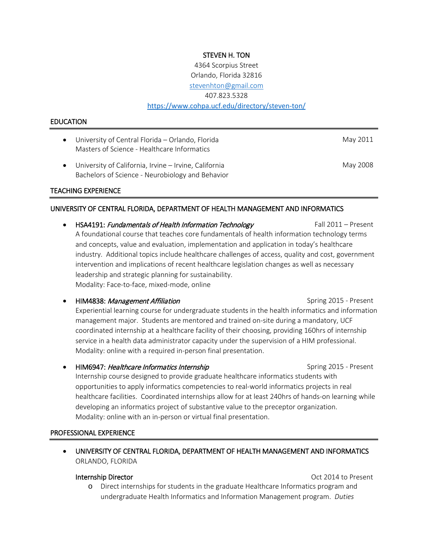## STEVEN H. TON

4364 Scorpius Street Orlando, Florida 32816 [stevenhton@gmail.com](mailto:stevenhton@gmail.com) 407.823.5328 <https://www.cohpa.ucf.edu/directory/steven-ton/>

#### EDUCATION

- University of Central Florida Orlando, Florida May 2011 Masters of Science - Healthcare Informatics
- University of California, Irvine Irvine, California May 2008 Bachelors of Science - Neurobiology and Behavior

### TEACHING EXPERIENCE

### UNIVERSITY OF CENTRAL FLORIDA, DEPARTMENT OF HEALTH MANAGEMENT AND INFORMATICS

- HSA4191: Fundamentals of Health Information Technology Fall 2011 Present A foundational course that teaches core fundamentals of health information technology terms and concepts, value and evaluation, implementation and application in today's healthcare industry. Additional topics include healthcare challenges of access, quality and cost, government intervention and implications of recent healthcare legislation changes as well as necessary leadership and strategic planning for sustainability. Modality: Face-to-face, mixed-mode, online
	- **HIM4838:** *Management Affiliation* Spring 2015 Present Experiential learning course for undergraduate students in the health informatics and information management major. Students are mentored and trained on-site during a mandatory, UCF coordinated internship at a healthcare facility of their choosing, providing 160hrs of internship service in a health data administrator capacity under the supervision of a HIM professional. Modality: online with a required in-person final presentation.
- **HIM6947: Healthcare Informatics Internship Spring 2015 Present Spring 2015 Present** Internship course designed to provide graduate healthcare informatics students with opportunities to apply informatics competencies to real-world informatics projects in real healthcare facilities. Coordinated internships allow for at least 240hrs of hands-on learning while developing an informatics project of substantive value to the preceptor organization. Modality: online with an in-person or virtual final presentation.

#### PROFESSIONAL EXPERIENCE

• UNIVERSITY OF CENTRAL FLORIDA, DEPARTMENT OF HEALTH MANAGEMENT AND INFORMATICS ORLANDO, FLORIDA

Internship Director Oct 2014 to Present

o Direct internships for students in the graduate Healthcare Informatics program and undergraduate Health Informatics and Information Management program. *Duties*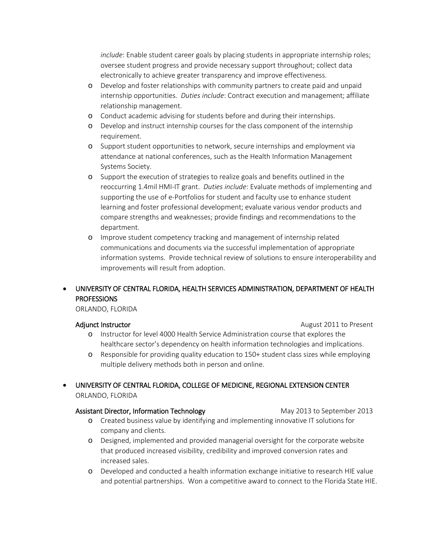*include*: Enable student career goals by placing students in appropriate internship roles; oversee student progress and provide necessary support throughout; collect data electronically to achieve greater transparency and improve effectiveness.

- o Develop and foster relationships with community partners to create paid and unpaid internship opportunities. *Duties include*: Contract execution and management; affiliate relationship management.
- o Conduct academic advising for students before and during their internships.
- o Develop and instruct internship courses for the class component of the internship requirement.
- o Support student opportunities to network, secure internships and employment via attendance at national conferences, such as the Health Information Management Systems Society.
- o Support the execution of strategies to realize goals and benefits outlined in the reoccurring 1.4mil HMI-IT grant. *Duties include*: Evaluate methods of implementing and supporting the use of e-Portfolios for student and faculty use to enhance student learning and foster professional development; evaluate various vendor products and compare strengths and weaknesses; provide findings and recommendations to the department.
- o Improve student competency tracking and management of internship related communications and documents via the successful implementation of appropriate information systems. Provide technical review of solutions to ensure interoperability and improvements will result from adoption.

# • UNIVERSITY OF CENTRAL FLORIDA, HEALTH SERVICES ADMINISTRATION, DEPARTMENT OF HEALTH **PROFESSIONS**

ORLANDO, FLORIDA

Adjunct Instructor **August 2011** to Present

- o Instructor for level 4000 Health Service Administration course that explores the healthcare sector's dependency on health information technologies and implications.
- o Responsible for providing quality education to 150+ student class sizes while employing multiple delivery methods both in person and online.
- UNIVERSITY OF CENTRAL FLORIDA, COLLEGE OF MEDICINE, REGIONAL EXTENSION CENTER ORLANDO, FLORIDA

### Assistant Director, Information Technology May 2013 to September 2013

- o Created business value by identifying and implementing innovative IT solutions for company and clients.
- o Designed, implemented and provided managerial oversight for the corporate website that produced increased visibility, credibility and improved conversion rates and increased sales.
- o Developed and conducted a health information exchange initiative to research HIE value and potential partnerships. Won a competitive award to connect to the Florida State HIE.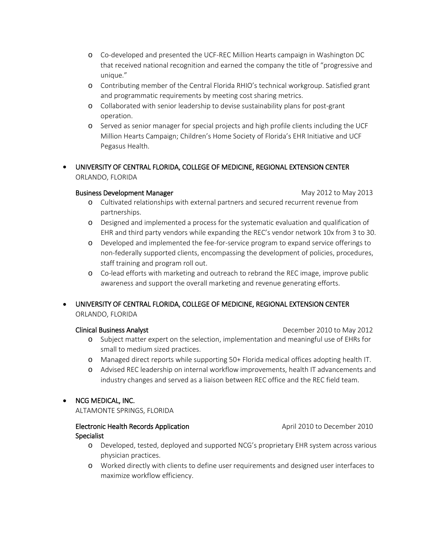- o Co-developed and presented the UCF-REC Million Hearts campaign in Washington DC that received national recognition and earned the company the title of "progressive and unique."
- o Contributing member of the Central Florida RHIO's technical workgroup. Satisfied grant and programmatic requirements by meeting cost sharing metrics.
- o Collaborated with senior leadership to devise sustainability plans for post-grant operation.
- o Served as senior manager for special projects and high profile clients including the UCF Million Hearts Campaign; Children's Home Society of Florida's EHR Initiative and UCF Pegasus Health.
- UNIVERSITY OF CENTRAL FLORIDA, COLLEGE OF MEDICINE, REGIONAL EXTENSION CENTER ORLANDO, FLORIDA

# Business Development Manager Manager Manager May 2012 to May 2013

- o Cultivated relationships with external partners and secured recurrent revenue from partnerships.
- o Designed and implemented a process for the systematic evaluation and qualification of EHR and third party vendors while expanding the REC's vendor network 10x from 3 to 30.
- o Developed and implemented the fee-for-service program to expand service offerings to non-federally supported clients, encompassing the development of policies, procedures, staff training and program roll out.
- o Co-lead efforts with marketing and outreach to rebrand the REC image, improve public awareness and support the overall marketing and revenue generating efforts.
- UNIVERSITY OF CENTRAL FLORIDA, COLLEGE OF MEDICINE, REGIONAL EXTENSION CENTER ORLANDO, FLORIDA

- Clinical Business Analyst December 2010 to May 2012
	- o Subject matter expert on the selection, implementation and meaningful use of EHRs for small to medium sized practices.
	- o Managed direct reports while supporting 50+ Florida medical offices adopting health IT.
	- o Advised REC leadership on internal workflow improvements, health IT advancements and industry changes and served as a liaison between REC office and the REC field team.

# • NCG MEDICAL, INC.

ALTAMONTE SPRINGS, FLORIDA

# Electronic Health Records Application **Specialist**

- o Developed, tested, deployed and supported NCG's proprietary EHR system across various physician practices.
- o Worked directly with clients to define user requirements and designed user interfaces to maximize workflow efficiency.

April 2010 to December 2010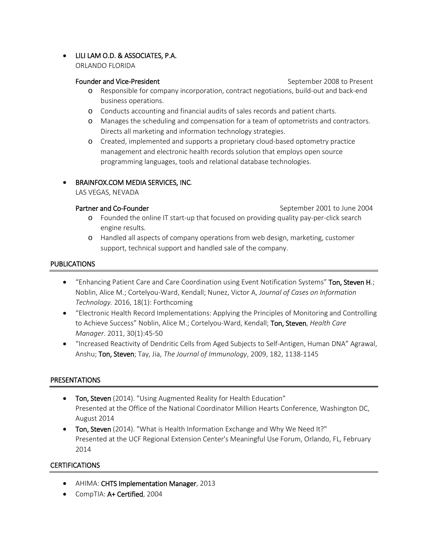# • LILI LAM O.D. & ASSOCIATES, P.A.

ORLANDO FLORIDA

## Founder and Vice-President September 2008 to Present

o Responsible for company incorporation, contract negotiations, build-out and back-end business operations.

- o Conducts accounting and financial audits of sales records and patient charts.
- o Manages the scheduling and compensation for a team of optometrists and contractors. Directs all marketing and information technology strategies.
- o Created, implemented and supports a proprietary cloud-based optometry practice management and electronic health records solution that employs open source programming languages, tools and relational database technologies.

# • BRAINFOX.COM MEDIA SERVICES, INC*.*

LAS VEGAS, NEVADA

Partner and Co-Founder The September 2001 to June 2004

- o Founded the online IT start-up that focused on providing quality pay-per-click search engine results.
- o Handled all aspects of company operations from web design, marketing, customer support, technical support and handled sale of the company.

# PUBLICATIONS

- "Enhancing Patient Care and Care Coordination using Event Notification Systems" Ton, Steven H.; Noblin, Alice M.; Cortelyou-Ward, Kendall; Nunez, Victor A, *Journal of Cases on Information Technology.* 2016, 18(1): Forthcoming
- "Electronic Health Record Implementations: Applying the Principles of Monitoring and Controlling to Achieve Success" Noblin, Alice M.; Cortelyou-Ward, Kendall; Ton, Steven, *Health Care Manager*. 2011, 30(1):45-50
- "Increased Reactivity of Dendritic Cells from Aged Subjects to Self-Antigen, Human DNA" Agrawal, Anshu; Ton, Steven; Tay, Jia, *The Journal of Immunology*, 2009, 182, 1138-1145

# **PRESENTATIONS**

- Ton, Steven (2014). "Using Augmented Reality for Health Education" Presented at the Office of the National Coordinator Million Hearts Conference, Washington DC, August 2014
- Ton, Steven (2014). "What is Health Information Exchange and Why We Need It?" Presented at the UCF Regional Extension Center's Meaningful Use Forum, Orlando, FL, February 2014

# **CERTIFICATIONS**

- AHIMA: CHTS Implementation Manager, 2013
- CompTIA: A+ Certified, 2004